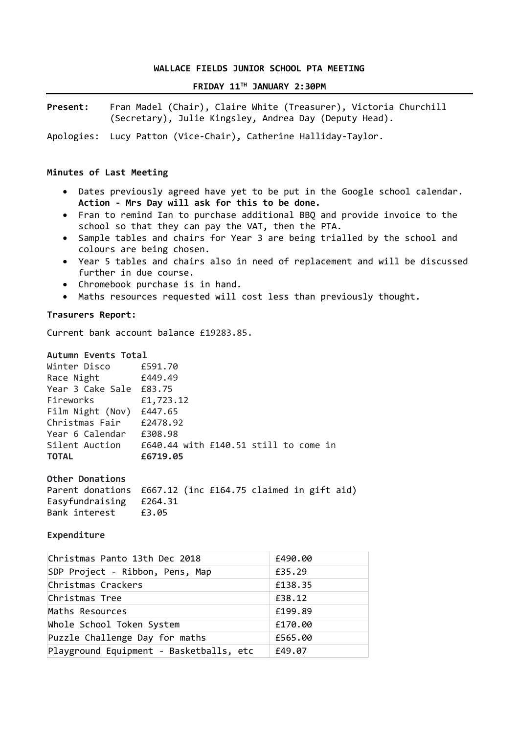### **WALLACE FIELDS JUNIOR SCHOOL PTA MEETING**

# **FRIDAY 11TH JANUARY 2:30PM**

**Present:** Fran Madel (Chair), Claire White (Treasurer), Victoria Churchill (Secretary), Julie Kingsley, Andrea Day (Deputy Head).

Apologies: Lucy Patton (Vice-Chair), Catherine Halliday-Taylor.

### **Minutes of Last Meeting**

- Dates previously agreed have yet to be put in the Google school calendar. **Action - Mrs Day will ask for this to be done.**
- Fran to remind Ian to purchase additional BBQ and provide invoice to the school so that they can pay the VAT, then the PTA.
- Sample tables and chairs for Year 3 are being trialled by the school and colours are being chosen.
- Year 5 tables and chairs also in need of replacement and will be discussed further in due course.
- Chromebook purchase is in hand.
- Maths resources requested will cost less than previously thought.

### **Trasurers Report:**

Current bank account balance £19283.85.

#### **Autumn Events Total**

| Winter Disco     | £591.70                               |
|------------------|---------------------------------------|
| Race Night       | £449.49                               |
| Year 3 Cake Sale | £83.75                                |
| Fireworks        | £1,723.12                             |
| Film Night (Nov) | £447.65                               |
| Christmas Fair   | £2478.92                              |
| Year 6 Calendar  | £308.98                               |
| Silent Auction   | £640.44 with £140.51 still to come in |
| <b>TOTAL</b>     | £6719.05                              |
|                  |                                       |

**Other Donations** 

| Parent donations £667.12 (inc £164.75 claimed in gift aid) |  |  |  |  |
|------------------------------------------------------------|--|--|--|--|
| Easyfundraising £264.31                                    |  |  |  |  |
| Bank interest £3.05                                        |  |  |  |  |

#### **Expenditure**

| Christmas Panto 13th Dec 2018           | £490.00 |
|-----------------------------------------|---------|
| SDP Project - Ribbon, Pens, Map         | £35.29  |
| Christmas Crackers                      | £138.35 |
| Christmas Tree                          | £38.12  |
| Maths Resources                         | £199.89 |
| Whole School Token System               | £170.00 |
| Puzzle Challenge Day for maths          | £565.00 |
| Playground Equipment - Basketballs, etc | £49.07  |